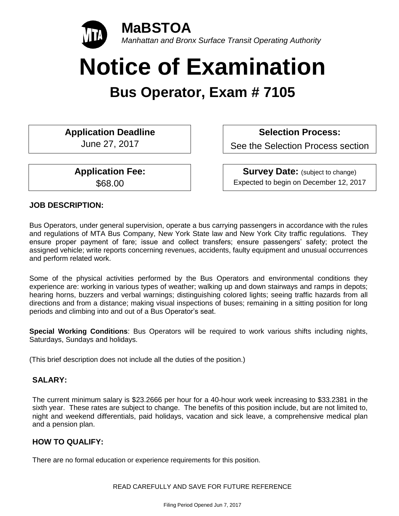

# **Notice of Examination**

# **Bus Operator, Exam # 7105**

**Application Deadline** June 27, 2017

**Application Fee:** 

\$68.00

**Selection Process:** 

See the Selection Process section

**Survey Date:** (subject to change) Expected to begin on December 12, 2017

# **JOB DESCRIPTION:**

Bus Operators, under general supervision, operate a bus carrying passengers in accordance with the rules and regulations of MTA Bus Company, New York State law and New York City traffic regulations. They ensure proper payment of fare; issue and collect transfers; ensure passengers' safety; protect the assigned vehicle; write reports concerning revenues, accidents, faulty equipment and unusual occurrences and perform related work.

Some of the physical activities performed by the Bus Operators and environmental conditions they experience are: working in various types of weather; walking up and down stairways and ramps in depots; hearing horns, buzzers and verbal warnings; distinguishing colored lights; seeing traffic hazards from all directions and from a distance; making visual inspections of buses; remaining in a sitting position for long periods and climbing into and out of a Bus Operator's seat.

**Special Working Conditions**: Bus Operators will be required to work various shifts including nights, Saturdays, Sundays and holidays.

(This brief description does not include all the duties of the position.)

# **SALARY:**

The current minimum salary is \$23.2666 per hour for a 40-hour work week increasing to \$33.2381 in the sixth year. These rates are subject to change. The benefits of this position include, but are not limited to, night and weekend differentials, paid holidays, vacation and sick leave, a comprehensive medical plan and a pension plan.

# **HOW TO QUALIFY:**

There are no formal education or experience requirements for this position.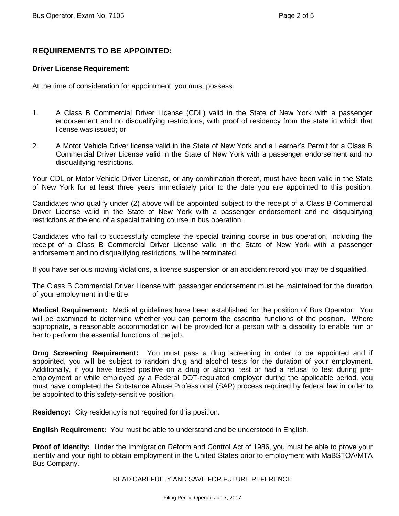# **REQUIREMENTS TO BE APPOINTED:**

#### **Driver License Requirement:**

At the time of consideration for appointment, you must possess:

- 1. A Class B Commercial Driver License (CDL) valid in the State of New York with a passenger endorsement and no disqualifying restrictions, with proof of residency from the state in which that license was issued; or
- 2. A Motor Vehicle Driver license valid in the State of New York and a Learner's Permit for a Class B Commercial Driver License valid in the State of New York with a passenger endorsement and no disqualifying restrictions.

Your CDL or Motor Vehicle Driver License, or any combination thereof, must have been valid in the State of New York for at least three years immediately prior to the date you are appointed to this position.

Candidates who qualify under (2) above will be appointed subject to the receipt of a Class B Commercial Driver License valid in the State of New York with a passenger endorsement and no disqualifying restrictions at the end of a special training course in bus operation.

Candidates who fail to successfully complete the special training course in bus operation, including the receipt of a Class B Commercial Driver License valid in the State of New York with a passenger endorsement and no disqualifying restrictions, will be terminated.

If you have serious moving violations, a license suspension or an accident record you may be disqualified.

The Class B Commercial Driver License with passenger endorsement must be maintained for the duration of your employment in the title.

**Medical Requirement:** Medical guidelines have been established for the position of Bus Operator. You will be examined to determine whether you can perform the essential functions of the position. Where appropriate, a reasonable accommodation will be provided for a person with a disability to enable him or her to perform the essential functions of the job.

**Drug Screening Requirement:** You must pass a drug screening in order to be appointed and if appointed, you will be subject to random drug and alcohol tests for the duration of your employment. Additionally, if you have tested positive on a drug or alcohol test or had a refusal to test during preemployment or while employed by a Federal DOT-regulated employer during the applicable period, you must have completed the Substance Abuse Professional (SAP) process required by federal law in order to be appointed to this safety-sensitive position.

**Residency:** City residency is not required for this position.

**English Requirement:** You must be able to understand and be understood in English.

**Proof of Identity:** Under the Immigration Reform and Control Act of 1986, you must be able to prove your identity and your right to obtain employment in the United States prior to employment with MaBSTOA/MTA Bus Company.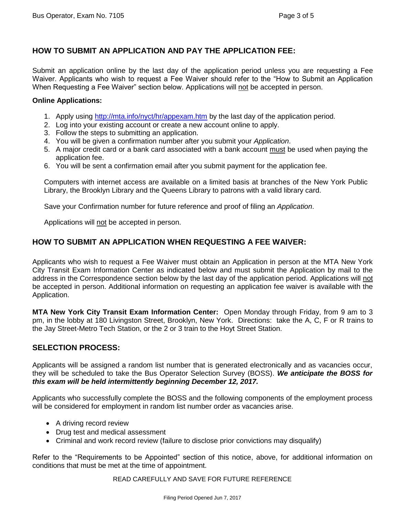# **HOW TO SUBMIT AN APPLICATION AND PAY THE APPLICATION FEE:**

Submit an application online by the last day of the application period unless you are requesting a Fee Waiver. Applicants who wish to request a Fee Waiver should refer to the "How to Submit an Application When Requesting a Fee Waiver" section below. Applications will not be accepted in person.

#### **Online Applications:**

- 1. Apply using<http://mta.info/nyct/hr/appexam.htm> by the last day of the application period.
- 2. Log into your existing account or create a new account online to apply.
- 3. Follow the steps to submitting an application.
- 4. You will be given a confirmation number after you submit your *Application*.
- 5. A major credit card or a bank card associated with a bank account must be used when paying the application fee.
- 6. You will be sent a confirmation email after you submit payment for the application fee.

Computers with internet access are available on a limited basis at branches of the New York Public Library, the Brooklyn Library and the Queens Library to patrons with a valid library card.

Save your Confirmation number for future reference and proof of filing an *Application*.

Applications will not be accepted in person.

## **HOW TO SUBMIT AN APPLICATION WHEN REQUESTING A FEE WAIVER:**

Applicants who wish to request a Fee Waiver must obtain an Application in person at the MTA New York City Transit Exam Information Center as indicated below and must submit the Application by mail to the address in the Correspondence section below by the last day of the application period. Applications will not be accepted in person. Additional information on requesting an application fee waiver is available with the Application.

**MTA New York City Transit Exam Information Center:** Open Monday through Friday, from 9 am to 3 pm, in the lobby at 180 Livingston Street, Brooklyn, New York. Directions: take the A, C, F or R trains to the Jay Street-Metro Tech Station, or the 2 or 3 train to the Hoyt Street Station.

## **SELECTION PROCESS:**

Applicants will be assigned a random list number that is generated electronically and as vacancies occur, they will be scheduled to take the Bus Operator Selection Survey (BOSS). *We anticipate the BOSS for this exam will be held intermittently beginning December 12, 2017.*

Applicants who successfully complete the BOSS and the following components of the employment process will be considered for employment in random list number order as vacancies arise.

- A driving record review
- Drug test and medical assessment
- Criminal and work record review (failure to disclose prior convictions may disqualify)

Refer to the "Requirements to be Appointed" section of this notice, above, for additional information on conditions that must be met at the time of appointment.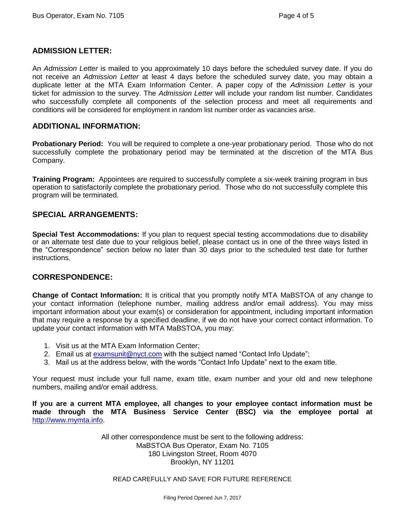#### **ADMISSION LETTER:**

An *Admission Letter* is mailed to you approximately 10 days before the scheduled survey date. If you do not receive an *Admission Letter* at least 4 days before the scheduled survey date, you may obtain a duplicate letter at the MTA Exam Information Center. A paper copy of the *Admission Letter* is your ticket for admission to the survey. The *Admission Letter* will include your random list number. Candidates who successfully complete all components of the selection process and meet all requirements and conditions will be considered for employment in random list number order as vacancies arise.

#### **ADDITIONAL INFORMATION:**

**Probationary Period:** You will be required to complete a one-year probationary period. Those who do not successfully complete the probationary period may be terminated at the discretion of the MTA Bus Company.

**Training Program:** Appointees are required to successfully complete a six-week training program in bus operation to satisfactorily complete the probationary period. Those who do not successfully complete this program will be terminated.

#### **SPECIAL ARRANGEMENTS:**

**Special Test Accommodations:** If you plan to request special testing accommodations due to disability or an alternate test date due to your religious belief, please contact us in one of the three ways listed in the "Correspondence" section below no later than 30 days prior to the scheduled test date for further instructions.

#### **CORRESPONDENCE:**

**Change of Contact Information:** It is critical that you promptly notify MTA MaBSTOA of any change to your contact information (telephone number, mailing address and/or email address). You may miss important information about your exam(s) or consideration for appointment, including important information that may require a response by a specified deadline, if we do not have your correct contact information. To update your contact information with MTA MaBSTOA, you may:

- 1. Visit us at the MTA Exam Information Center;
- 2. Email us at [examsunit@nyct.com](mailto:examsunit@nyct.com) with the subject named "Contact Info Update";
- 3. Mail us at the address below, with the words "Contact Info Update" next to the exam title.

Your request must include your full name, exam title, exam number and your old and new telephone numbers, mailing and/or email address.

**If you are a current MTA employee, all changes to your employee contact information must be made through the MTA Business Service Center (BSC) via the employee portal at** [http://www.mymta.info.](http://www.mymta.info/)

> All other correspondence must be sent to the following address: MaBSTOA Bus Operator, Exam No. 7105 180 Livingston Street, Room 4070 Brooklyn, NY 11201